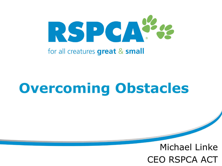

#### for all creatures great & small

## **Overcoming Obstacles**

### Michael Linke CEO RSPCA ACT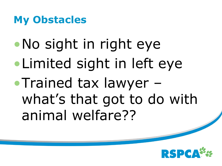### **My Obstacles**

•No sight in right eye •Limited sight in left eye •Trained tax lawyer – what's that got to do with animal welfare??

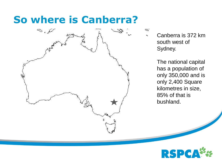### **So where is Canberra?**



Canberra is 372 km south west of Sydney.

Ø,

The national capital has a population of only 350,000 and is only 2,400 Square kilometres in size, 85% of that is bushland.

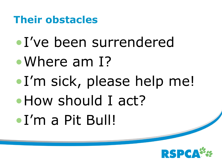**Their obstacles**

- •I've been surrendered
- •Where am I?
- •I'm sick, please help me!
- How should I act?
- •I'm a Pit Bull!

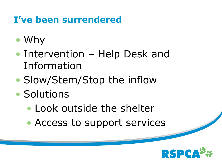### **I've been surrendered**

- Why
- Intervention Help Desk and Information
- Slow/Stem/Stop the inflow
- Solutions
	- Look outside the shelter
	- Access to support services

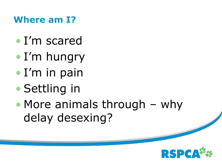### **Where am I?**

- I'm scared
- I'm hungry
- I'm in pain
- Settling in
- More animals through why delay desexing?

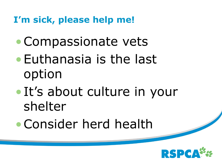### **I'm sick, please help me!**

- •Compassionate vets
- •Euthanasia is the last option
- •It's about culture in your shelter
- •Consider herd health

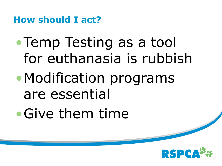**How should I act?**

• Temp Testing as a tool for euthanasia is rubbish

- •Modification programs are essential
- •Give them time

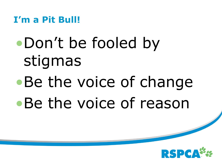**I'm a Pit Bull!**

# •Don't be fooled by stigmas •Be the voice of change •Be the voice of reason

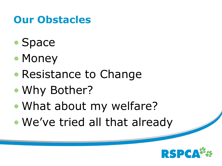### **Our Obstacles**

- Space
- Money
- Resistance to Change
- Why Bother?
- What about my welfare?
- We've tried all that already

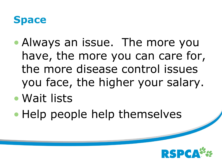### **Space**

- Always an issue. The more you have, the more you can care for, the more disease control issues you face, the higher your salary.
- Wait lists
- Help people help themselves

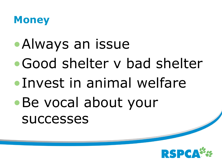

- •Always an issue
- •Good shelter v bad shelter
- •Invest in animal welfare
- •Be vocal about your successes

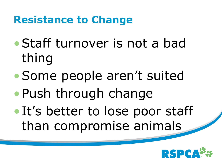### **Resistance to Change**

- •Staff turnover is not a bad thing
- •Some people aren't suited
- •Push through change
- It's better to lose poor staff than compromise animals

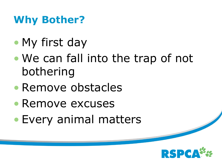### **Why Bother?**

- My first day
- We can fall into the trap of not bothering
- Remove obstacles
- Remove excuses
- Every animal matters

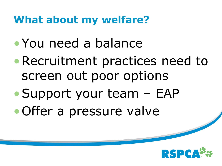### **What about my welfare?**

- •You need a balance
- •Recruitment practices need to screen out poor options
- •Support your team EAP
- •Offer a pressure valve

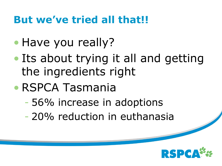### **But we've tried all that!!**

- Have you really?
- Its about trying it all and getting the ingredients right
- RSPCA Tasmania
	- 56% increase in adoptions
	- 20% reduction in euthanasia